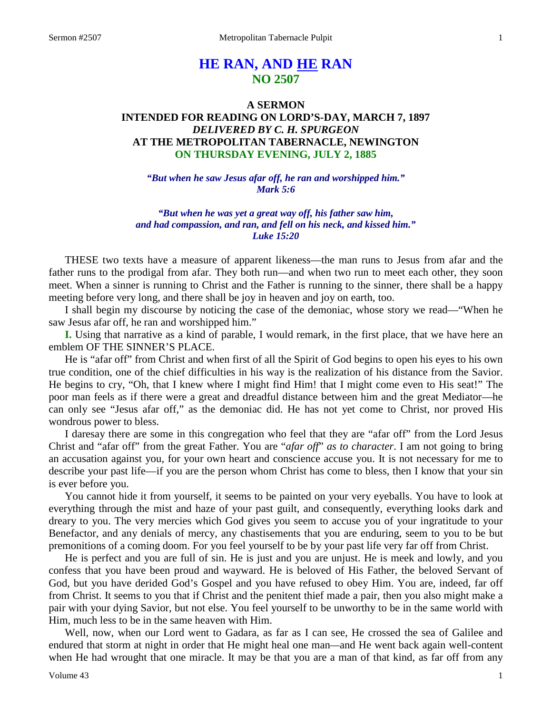# **HE RAN, AND HE RAN NO 2507**

## **A SERMON INTENDED FOR READING ON LORD'S-DAY, MARCH 7, 1897** *DELIVERED BY C. H. SPURGEON* **AT THE METROPOLITAN TABERNACLE, NEWINGTON ON THURSDAY EVENING, JULY 2, 1885**

*"But when he saw Jesus afar off, he ran and worshipped him." Mark 5:6*

*"But when he was yet a great way off, his father saw him, and had compassion, and ran, and fell on his neck, and kissed him." Luke 15:20*

THESE two texts have a measure of apparent likeness—the man runs to Jesus from afar and the father runs to the prodigal from afar. They both run—and when two run to meet each other, they soon meet. When a sinner is running to Christ and the Father is running to the sinner, there shall be a happy meeting before very long, and there shall be joy in heaven and joy on earth, too.

I shall begin my discourse by noticing the case of the demoniac, whose story we read—"When he saw Jesus afar off, he ran and worshipped him."

**I.** Using that narrative as a kind of parable, I would remark, in the first place, that we have here an emblem OF THE SINNER'S PLACE.

He is "afar off" from Christ and when first of all the Spirit of God begins to open his eyes to his own true condition, one of the chief difficulties in his way is the realization of his distance from the Savior. He begins to cry, "Oh, that I knew where I might find Him! that I might come even to His seat!" The poor man feels as if there were a great and dreadful distance between him and the great Mediator—he can only see "Jesus afar off," as the demoniac did. He has not yet come to Christ, nor proved His wondrous power to bless.

I daresay there are some in this congregation who feel that they are "afar off" from the Lord Jesus Christ and "afar off" from the great Father. You are "*afar off*" *as to character*. I am not going to bring an accusation against you, for your own heart and conscience accuse you. It is not necessary for me to describe your past life—if you are the person whom Christ has come to bless, then I know that your sin is ever before you.

You cannot hide it from yourself, it seems to be painted on your very eyeballs. You have to look at everything through the mist and haze of your past guilt, and consequently, everything looks dark and dreary to you. The very mercies which God gives you seem to accuse you of your ingratitude to your Benefactor, and any denials of mercy, any chastisements that you are enduring, seem to you to be but premonitions of a coming doom. For you feel yourself to be by your past life very far off from Christ.

He is perfect and you are full of sin. He is just and you are unjust. He is meek and lowly, and you confess that you have been proud and wayward. He is beloved of His Father, the beloved Servant of God, but you have derided God's Gospel and you have refused to obey Him. You are, indeed, far off from Christ. It seems to you that if Christ and the penitent thief made a pair, then you also might make a pair with your dying Savior, but not else. You feel yourself to be unworthy to be in the same world with Him, much less to be in the same heaven with Him.

Well, now, when our Lord went to Gadara, as far as I can see, He crossed the sea of Galilee and endured that storm at night in order that He might heal one man*—*and He went back again well-content when He had wrought that one miracle. It may be that you are a man of that kind, as far off from any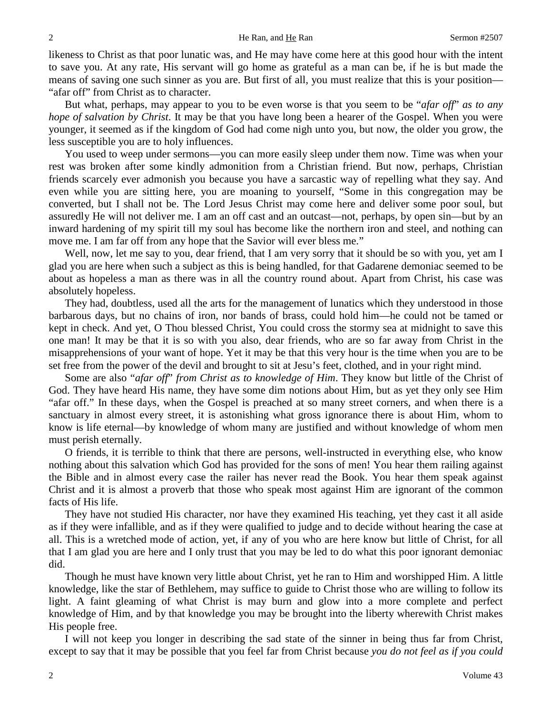likeness to Christ as that poor lunatic was, and He may have come here at this good hour with the intent to save you. At any rate, His servant will go home as grateful as a man can be, if he is but made the means of saving one such sinner as you are. But first of all, you must realize that this is your position— "afar off" from Christ as to character.

But what, perhaps, may appear to you to be even worse is that you seem to be "*afar off*" *as to any hope of salvation by Christ*. It may be that you have long been a hearer of the Gospel. When you were younger, it seemed as if the kingdom of God had come nigh unto you, but now, the older you grow, the less susceptible you are to holy influences.

You used to weep under sermons—you can more easily sleep under them now. Time was when your rest was broken after some kindly admonition from a Christian friend. But now, perhaps, Christian friends scarcely ever admonish you because you have a sarcastic way of repelling what they say. And even while you are sitting here, you are moaning to yourself, "Some in this congregation may be converted, but I shall not be. The Lord Jesus Christ may come here and deliver some poor soul, but assuredly He will not deliver me. I am an off cast and an outcast—not, perhaps, by open sin—but by an inward hardening of my spirit till my soul has become like the northern iron and steel, and nothing can move me. I am far off from any hope that the Savior will ever bless me."

Well, now, let me say to you, dear friend, that I am very sorry that it should be so with you, yet am I glad you are here when such a subject as this is being handled, for that Gadarene demoniac seemed to be about as hopeless a man as there was in all the country round about. Apart from Christ, his case was absolutely hopeless.

They had, doubtless, used all the arts for the management of lunatics which they understood in those barbarous days, but no chains of iron, nor bands of brass, could hold him—he could not be tamed or kept in check. And yet, O Thou blessed Christ, You could cross the stormy sea at midnight to save this one man! It may be that it is so with you also, dear friends, who are so far away from Christ in the misapprehensions of your want of hope. Yet it may be that this very hour is the time when you are to be set free from the power of the devil and brought to sit at Jesu's feet, clothed, and in your right mind.

Some are also "*afar off*" *from Christ as to knowledge of Him*. They know but little of the Christ of God. They have heard His name, they have some dim notions about Him, but as yet they only see Him "afar off." In these days, when the Gospel is preached at so many street corners, and when there is a sanctuary in almost every street, it is astonishing what gross ignorance there is about Him, whom to know is life eternal—by knowledge of whom many are justified and without knowledge of whom men must perish eternally.

O friends, it is terrible to think that there are persons, well-instructed in everything else, who know nothing about this salvation which God has provided for the sons of men! You hear them railing against the Bible and in almost every case the railer has never read the Book. You hear them speak against Christ and it is almost a proverb that those who speak most against Him are ignorant of the common facts of His life.

They have not studied His character, nor have they examined His teaching, yet they cast it all aside as if they were infallible, and as if they were qualified to judge and to decide without hearing the case at all. This is a wretched mode of action, yet, if any of you who are here know but little of Christ, for all that I am glad you are here and I only trust that you may be led to do what this poor ignorant demoniac did.

Though he must have known very little about Christ, yet he ran to Him and worshipped Him. A little knowledge, like the star of Bethlehem, may suffice to guide to Christ those who are willing to follow its light. A faint gleaming of what Christ is may burn and glow into a more complete and perfect knowledge of Him, and by that knowledge you may be brought into the liberty wherewith Christ makes His people free.

I will not keep you longer in describing the sad state of the sinner in being thus far from Christ, except to say that it may be possible that you feel far from Christ because *you do not feel as if you could*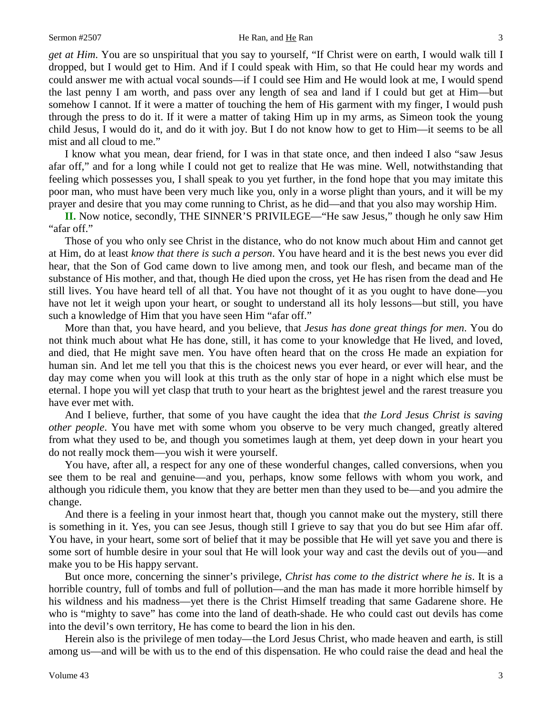#### Sermon #2507 **He Ran, and <u>He</u> Ran** 3

*get at Him*. You are so unspiritual that you say to yourself, "If Christ were on earth, I would walk till I dropped, but I would get to Him. And if I could speak with Him, so that He could hear my words and could answer me with actual vocal sounds—if I could see Him and He would look at me, I would spend the last penny I am worth, and pass over any length of sea and land if I could but get at Him—but somehow I cannot. If it were a matter of touching the hem of His garment with my finger, I would push through the press to do it. If it were a matter of taking Him up in my arms, as Simeon took the young child Jesus, I would do it, and do it with joy. But I do not know how to get to Him—it seems to be all mist and all cloud to me."

I know what you mean, dear friend, for I was in that state once, and then indeed I also "saw Jesus afar off," and for a long while I could not get to realize that He was mine. Well, notwithstanding that feeling which possesses you, I shall speak to you yet further, in the fond hope that you may imitate this poor man, who must have been very much like you, only in a worse plight than yours, and it will be my prayer and desire that you may come running to Christ, as he did—and that you also may worship Him.

**II.** Now notice, secondly, THE SINNER'S PRIVILEGE—"He saw Jesus," though he only saw Him "afar off."

Those of you who only see Christ in the distance, who do not know much about Him and cannot get at Him, do at least *know that there is such a person*. You have heard and it is the best news you ever did hear, that the Son of God came down to live among men, and took our flesh, and became man of the substance of His mother, and that, though He died upon the cross, yet He has risen from the dead and He still lives. You have heard tell of all that. You have not thought of it as you ought to have done—you have not let it weigh upon your heart, or sought to understand all its holy lessons—but still, you have such a knowledge of Him that you have seen Him "afar off."

More than that, you have heard, and you believe, that *Jesus has done great things for men*. You do not think much about what He has done, still, it has come to your knowledge that He lived, and loved, and died, that He might save men. You have often heard that on the cross He made an expiation for human sin. And let me tell you that this is the choicest news you ever heard, or ever will hear, and the day may come when you will look at this truth as the only star of hope in a night which else must be eternal. I hope you will yet clasp that truth to your heart as the brightest jewel and the rarest treasure you have ever met with.

And I believe, further, that some of you have caught the idea that *the Lord Jesus Christ is saving other people*. You have met with some whom you observe to be very much changed, greatly altered from what they used to be, and though you sometimes laugh at them, yet deep down in your heart you do not really mock them—you wish it were yourself.

You have, after all, a respect for any one of these wonderful changes, called conversions, when you see them to be real and genuine—and you, perhaps, know some fellows with whom you work, and although you ridicule them, you know that they are better men than they used to be—and you admire the change.

And there is a feeling in your inmost heart that, though you cannot make out the mystery, still there is something in it. Yes, you can see Jesus, though still I grieve to say that you do but see Him afar off. You have, in your heart, some sort of belief that it may be possible that He will yet save you and there is some sort of humble desire in your soul that He will look your way and cast the devils out of you—and make you to be His happy servant.

But once more, concerning the sinner's privilege, *Christ has come to the district where he is*. It is a horrible country, full of tombs and full of pollution—and the man has made it more horrible himself by his wildness and his madness—yet there is the Christ Himself treading that same Gadarene shore. He who is "mighty to save" has come into the land of death-shade. He who could cast out devils has come into the devil's own territory, He has come to beard the lion in his den.

Herein also is the privilege of men today—the Lord Jesus Christ, who made heaven and earth, is still among us—and will be with us to the end of this dispensation. He who could raise the dead and heal the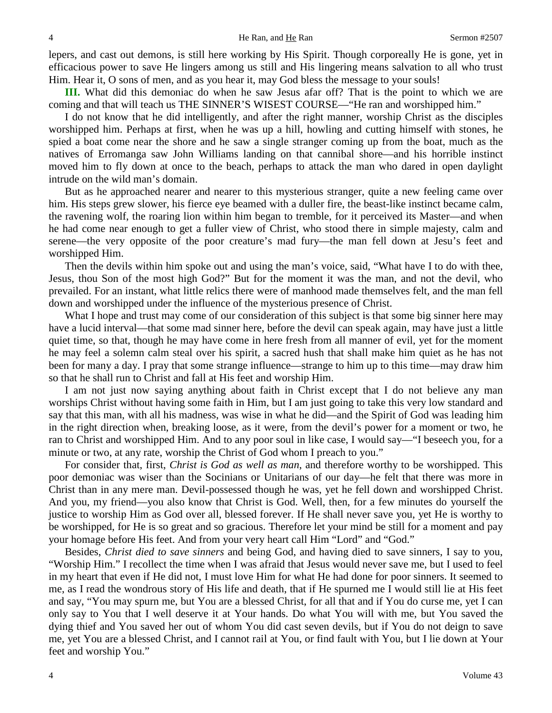lepers, and cast out demons, is still here working by His Spirit. Though corporeally He is gone, yet in efficacious power to save He lingers among us still and His lingering means salvation to all who trust Him. Hear it, O sons of men, and as you hear it, may God bless the message to your souls!

**III.** What did this demoniac do when he saw Jesus afar off? That is the point to which we are coming and that will teach us THE SINNER'S WISEST COURSE—"He ran and worshipped him."

I do not know that he did intelligently, and after the right manner, worship Christ as the disciples worshipped him. Perhaps at first, when he was up a hill, howling and cutting himself with stones, he spied a boat come near the shore and he saw a single stranger coming up from the boat, much as the natives of Erromanga saw John Williams landing on that cannibal shore—and his horrible instinct moved him to fly down at once to the beach, perhaps to attack the man who dared in open daylight intrude on the wild man's domain.

But as he approached nearer and nearer to this mysterious stranger, quite a new feeling came over him. His steps grew slower, his fierce eye beamed with a duller fire, the beast-like instinct became calm, the ravening wolf, the roaring lion within him began to tremble, for it perceived its Master—and when he had come near enough to get a fuller view of Christ, who stood there in simple majesty, calm and serene—the very opposite of the poor creature's mad fury—the man fell down at Jesu's feet and worshipped Him.

Then the devils within him spoke out and using the man's voice, said, "What have I to do with thee, Jesus, thou Son of the most high God?" But for the moment it was the man, and not the devil, who prevailed. For an instant, what little relics there were of manhood made themselves felt, and the man fell down and worshipped under the influence of the mysterious presence of Christ.

What I hope and trust may come of our consideration of this subject is that some big sinner here may have a lucid interval—that some mad sinner here, before the devil can speak again, may have just a little quiet time, so that, though he may have come in here fresh from all manner of evil, yet for the moment he may feel a solemn calm steal over his spirit, a sacred hush that shall make him quiet as he has not been for many a day. I pray that some strange influence—strange to him up to this time—may draw him so that he shall run to Christ and fall at His feet and worship Him.

I am not just now saying anything about faith in Christ except that I do not believe any man worships Christ without having some faith in Him, but I am just going to take this very low standard and say that this man, with all his madness, was wise in what he did—and the Spirit of God was leading him in the right direction when, breaking loose, as it were, from the devil's power for a moment or two, he ran to Christ and worshipped Him. And to any poor soul in like case, I would say—"I beseech you, for a minute or two, at any rate, worship the Christ of God whom I preach to you."

For consider that, first, *Christ is God as well as man*, and therefore worthy to be worshipped. This poor demoniac was wiser than the Socinians or Unitarians of our day—he felt that there was more in Christ than in any mere man. Devil-possessed though he was, yet he fell down and worshipped Christ. And you, my friend—you also know that Christ is God. Well, then, for a few minutes do yourself the justice to worship Him as God over all, blessed forever. If He shall never save you, yet He is worthy to be worshipped, for He is so great and so gracious. Therefore let your mind be still for a moment and pay your homage before His feet. And from your very heart call Him "Lord" and "God."

Besides, *Christ died to save sinners* and being God, and having died to save sinners, I say to you, "Worship Him." I recollect the time when I was afraid that Jesus would never save me, but I used to feel in my heart that even if He did not, I must love Him for what He had done for poor sinners. It seemed to me, as I read the wondrous story of His life and death, that if He spurned me I would still lie at His feet and say, "You may spurn me, but You are a blessed Christ, for all that and if You do curse me, yet I can only say to You that I well deserve it at Your hands. Do what You will with me, but You saved the dying thief and You saved her out of whom You did cast seven devils, but if You do not deign to save me, yet You are a blessed Christ, and I cannot rail at You, or find fault with You, but I lie down at Your feet and worship You."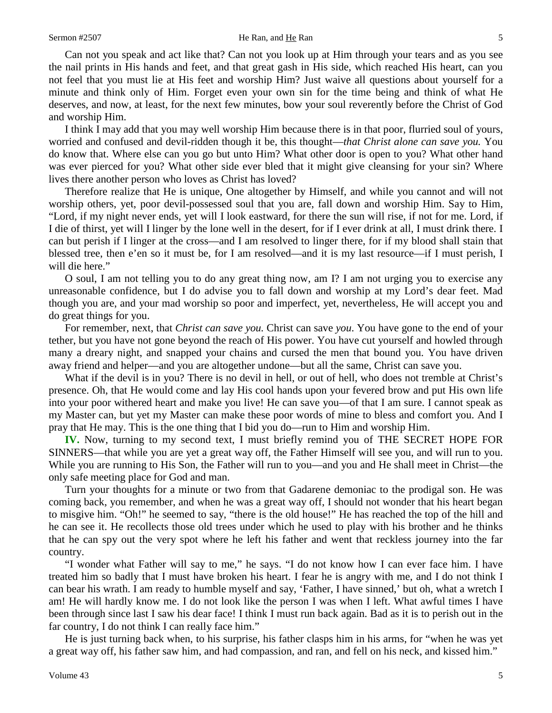Can not you speak and act like that? Can not you look up at Him through your tears and as you see the nail prints in His hands and feet, and that great gash in His side, which reached His heart, can you not feel that you must lie at His feet and worship Him? Just waive all questions about yourself for a minute and think only of Him. Forget even your own sin for the time being and think of what He deserves, and now, at least, for the next few minutes, bow your soul reverently before the Christ of God and worship Him.

I think I may add that you may well worship Him because there is in that poor, flurried soul of yours, worried and confused and devil-ridden though it be, this thought—*that Christ alone can save you.* You do know that. Where else can you go but unto Him? What other door is open to you? What other hand was ever pierced for you? What other side ever bled that it might give cleansing for your sin? Where lives there another person who loves as Christ has loved?

Therefore realize that He is unique, One altogether by Himself, and while you cannot and will not worship others, yet, poor devil-possessed soul that you are, fall down and worship Him. Say to Him, "Lord, if my night never ends, yet will I look eastward, for there the sun will rise, if not for me. Lord, if I die of thirst, yet will I linger by the lone well in the desert, for if I ever drink at all, I must drink there. I can but perish if I linger at the cross—and I am resolved to linger there, for if my blood shall stain that blessed tree, then e'en so it must be, for I am resolved—and it is my last resource—if I must perish, I will die here."

O soul, I am not telling you to do any great thing now, am I? I am not urging you to exercise any unreasonable confidence, but I do advise you to fall down and worship at my Lord's dear feet. Mad though you are, and your mad worship so poor and imperfect, yet, nevertheless, He will accept you and do great things for you.

For remember, next, that *Christ can save you.* Christ can save *you*. You have gone to the end of your tether, but you have not gone beyond the reach of His power. You have cut yourself and howled through many a dreary night, and snapped your chains and cursed the men that bound you. You have driven away friend and helper—and you are altogether undone—but all the same, Christ can save you.

What if the devil is in you? There is no devil in hell, or out of hell, who does not tremble at Christ's presence. Oh, that He would come and lay His cool hands upon your fevered brow and put His own life into your poor withered heart and make you live! He can save you—of that I am sure. I cannot speak as my Master can, but yet my Master can make these poor words of mine to bless and comfort you. And I pray that He may. This is the one thing that I bid you do—run to Him and worship Him.

**IV.** Now, turning to my second text, I must briefly remind you of THE SECRET HOPE FOR SINNERS—that while you are yet a great way off, the Father Himself will see you, and will run to you. While you are running to His Son, the Father will run to you—and you and He shall meet in Christ—the only safe meeting place for God and man.

Turn your thoughts for a minute or two from that Gadarene demoniac to the prodigal son. He was coming back, you remember, and when he was a great way off, I should not wonder that his heart began to misgive him. "Oh!" he seemed to say, "there is the old house!" He has reached the top of the hill and he can see it. He recollects those old trees under which he used to play with his brother and he thinks that he can spy out the very spot where he left his father and went that reckless journey into the far country.

"I wonder what Father will say to me," he says. "I do not know how I can ever face him. I have treated him so badly that I must have broken his heart. I fear he is angry with me, and I do not think I can bear his wrath. I am ready to humble myself and say, 'Father, I have sinned,' but oh, what a wretch I am! He will hardly know me. I do not look like the person I was when I left. What awful times I have been through since last I saw his dear face! I think I must run back again. Bad as it is to perish out in the far country, I do not think I can really face him."

He is just turning back when, to his surprise, his father clasps him in his arms, for "when he was yet a great way off, his father saw him, and had compassion, and ran, and fell on his neck, and kissed him."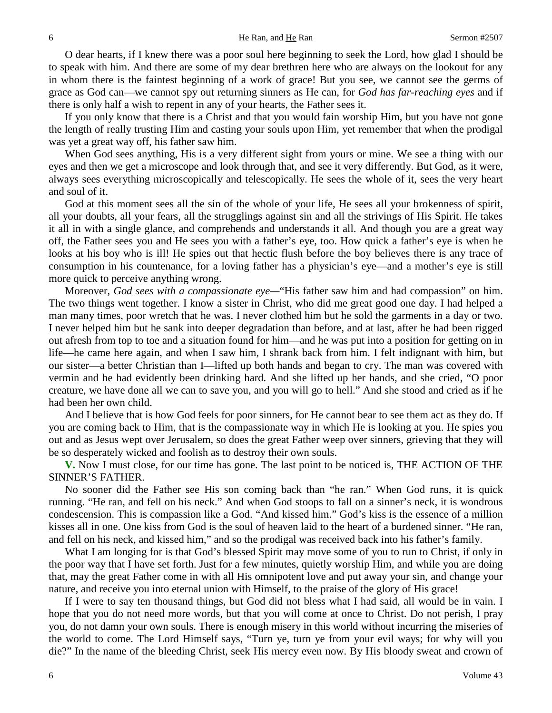O dear hearts, if I knew there was a poor soul here beginning to seek the Lord, how glad I should be to speak with him. And there are some of my dear brethren here who are always on the lookout for any in whom there is the faintest beginning of a work of grace! But you see, we cannot see the germs of grace as God can—we cannot spy out returning sinners as He can, for *God has far-reaching eyes* and if there is only half a wish to repent in any of your hearts, the Father sees it.

If you only know that there is a Christ and that you would fain worship Him, but you have not gone the length of really trusting Him and casting your souls upon Him, yet remember that when the prodigal was yet a great way off, his father saw him.

When God sees anything, His is a very different sight from yours or mine. We see a thing with our eyes and then we get a microscope and look through that, and see it very differently. But God, as it were, always sees everything microscopically and telescopically. He sees the whole of it, sees the very heart and soul of it.

God at this moment sees all the sin of the whole of your life, He sees all your brokenness of spirit, all your doubts, all your fears, all the strugglings against sin and all the strivings of His Spirit. He takes it all in with a single glance, and comprehends and understands it all. And though you are a great way off, the Father sees you and He sees you with a father's eye, too. How quick a father's eye is when he looks at his boy who is ill! He spies out that hectic flush before the boy believes there is any trace of consumption in his countenance, for a loving father has a physician's eye—and a mother's eye is still more quick to perceive anything wrong.

Moreover, *God sees with a compassionate eye—*"His father saw him and had compassion" on him. The two things went together. I know a sister in Christ, who did me great good one day. I had helped a man many times, poor wretch that he was. I never clothed him but he sold the garments in a day or two. I never helped him but he sank into deeper degradation than before, and at last, after he had been rigged out afresh from top to toe and a situation found for him—and he was put into a position for getting on in life—he came here again, and when I saw him, I shrank back from him. I felt indignant with him, but our sister—a better Christian than I—lifted up both hands and began to cry. The man was covered with vermin and he had evidently been drinking hard. And she lifted up her hands, and she cried, "O poor creature, we have done all we can to save you, and you will go to hell." And she stood and cried as if he had been her own child.

And I believe that is how God feels for poor sinners, for He cannot bear to see them act as they do. If you are coming back to Him, that is the compassionate way in which He is looking at you. He spies you out and as Jesus wept over Jerusalem, so does the great Father weep over sinners, grieving that they will be so desperately wicked and foolish as to destroy their own souls.

**V.** Now I must close, for our time has gone. The last point to be noticed is, THE ACTION OF THE SINNER'S FATHER.

No sooner did the Father see His son coming back than "he ran." When God runs, it is quick running. "He ran, and fell on his neck." And when God stoops to fall on a sinner's neck, it is wondrous condescension. This is compassion like a God. "And kissed him." God's kiss is the essence of a million kisses all in one. One kiss from God is the soul of heaven laid to the heart of a burdened sinner. "He ran, and fell on his neck, and kissed him," and so the prodigal was received back into his father's family.

What I am longing for is that God's blessed Spirit may move some of you to run to Christ, if only in the poor way that I have set forth. Just for a few minutes, quietly worship Him, and while you are doing that, may the great Father come in with all His omnipotent love and put away your sin, and change your nature, and receive you into eternal union with Himself, to the praise of the glory of His grace!

If I were to say ten thousand things, but God did not bless what I had said, all would be in vain. I hope that you do not need more words, but that you will come at once to Christ. Do not perish, I pray you, do not damn your own souls. There is enough misery in this world without incurring the miseries of the world to come. The Lord Himself says, "Turn ye, turn ye from your evil ways; for why will you die?" In the name of the bleeding Christ, seek His mercy even now. By His bloody sweat and crown of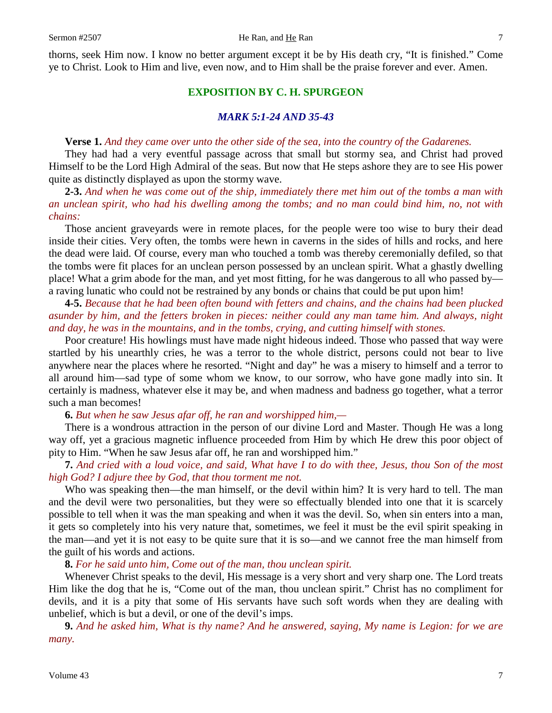thorns, seek Him now. I know no better argument except it be by His death cry, "It is finished." Come ye to Christ. Look to Him and live, even now, and to Him shall be the praise forever and ever. Amen.

## **EXPOSITION BY C. H. SPURGEON**

## *MARK 5:1-24 AND 35-43*

#### **Verse 1.** *And they came over unto the other side of the sea, into the country of the Gadarenes.*

They had had a very eventful passage across that small but stormy sea, and Christ had proved Himself to be the Lord High Admiral of the seas. But now that He steps ashore they are to see His power quite as distinctly displayed as upon the stormy wave.

**2-3.** *And when he was come out of the ship, immediately there met him out of the tombs a man with an unclean spirit, who had his dwelling among the tombs; and no man could bind him, no, not with chains:*

Those ancient graveyards were in remote places, for the people were too wise to bury their dead inside their cities. Very often, the tombs were hewn in caverns in the sides of hills and rocks, and here the dead were laid. Of course, every man who touched a tomb was thereby ceremonially defiled, so that the tombs were fit places for an unclean person possessed by an unclean spirit. What a ghastly dwelling place! What a grim abode for the man, and yet most fitting, for he was dangerous to all who passed by a raving lunatic who could not be restrained by any bonds or chains that could be put upon him!

**4-5.** *Because that he had been often bound with fetters and chains, and the chains had been plucked asunder by him, and the fetters broken in pieces: neither could any man tame him. And always, night and day, he was in the mountains, and in the tombs, crying, and cutting himself with stones.*

Poor creature! His howlings must have made night hideous indeed. Those who passed that way were startled by his unearthly cries, he was a terror to the whole district, persons could not bear to live anywhere near the places where he resorted. "Night and day" he was a misery to himself and a terror to all around him—sad type of some whom we know, to our sorrow, who have gone madly into sin. It certainly is madness, whatever else it may be, and when madness and badness go together, what a terror such a man becomes!

## **6.** *But when he saw Jesus afar off, he ran and worshipped him,—*

There is a wondrous attraction in the person of our divine Lord and Master. Though He was a long way off, yet a gracious magnetic influence proceeded from Him by which He drew this poor object of pity to Him. "When he saw Jesus afar off, he ran and worshipped him."

## **7.** *And cried with a loud voice, and said, What have I to do with thee, Jesus, thou Son of the most high God? I adjure thee by God, that thou torment me not.*

Who was speaking then—the man himself, or the devil within him? It is very hard to tell. The man and the devil were two personalities, but they were so effectually blended into one that it is scarcely possible to tell when it was the man speaking and when it was the devil. So, when sin enters into a man, it gets so completely into his very nature that, sometimes, we feel it must be the evil spirit speaking in the man—and yet it is not easy to be quite sure that it is so—and we cannot free the man himself from the guilt of his words and actions.

## **8.** *For he said unto him, Come out of the man, thou unclean spirit.*

Whenever Christ speaks to the devil, His message is a very short and very sharp one. The Lord treats Him like the dog that he is, "Come out of the man, thou unclean spirit." Christ has no compliment for devils, and it is a pity that some of His servants have such soft words when they are dealing with unbelief, which is but a devil, or one of the devil's imps.

**9.** *And he asked him, What is thy name? And he answered, saying, My name is Legion: for we are many.*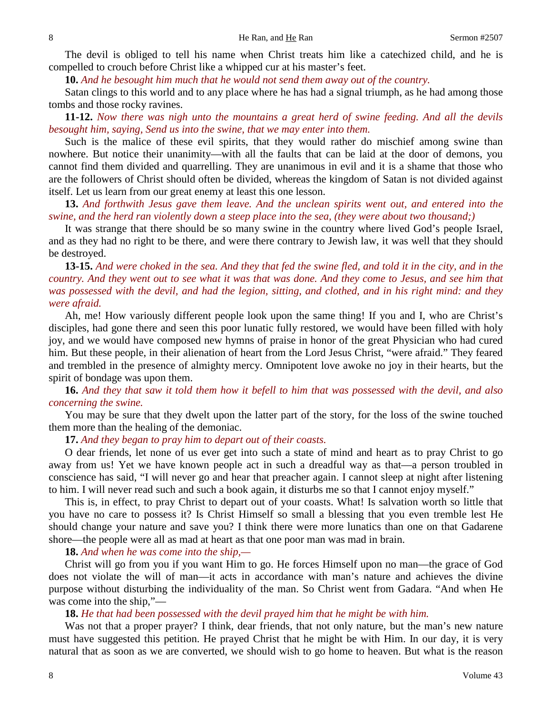The devil is obliged to tell his name when Christ treats him like a catechized child, and he is compelled to crouch before Christ like a whipped cur at his master's feet.

**10.** *And he besought him much that he would not send them away out of the country.*

Satan clings to this world and to any place where he has had a signal triumph, as he had among those tombs and those rocky ravines.

**11-12.** *Now there was nigh unto the mountains a great herd of swine feeding. And all the devils besought him, saying, Send us into the swine, that we may enter into them.* 

Such is the malice of these evil spirits, that they would rather do mischief among swine than nowhere. But notice their unanimity—with all the faults that can be laid at the door of demons, you cannot find them divided and quarrelling. They are unanimous in evil and it is a shame that those who are the followers of Christ should often be divided, whereas the kingdom of Satan is not divided against itself. Let us learn from our great enemy at least this one lesson.

**13.** *And forthwith Jesus gave them leave. And the unclean spirits went out, and entered into the swine, and the herd ran violently down a steep place into the sea, (they were about two thousand;)*

It was strange that there should be so many swine in the country where lived God's people Israel, and as they had no right to be there, and were there contrary to Jewish law, it was well that they should be destroyed.

**13-15.** *And were choked in the sea. And they that fed the swine fled, and told it in the city, and in the country. And they went out to see what it was that was done. And they come to Jesus, and see him that was possessed with the devil, and had the legion, sitting, and clothed, and in his right mind: and they were afraid.* 

Ah, me! How variously different people look upon the same thing! If you and I, who are Christ's disciples, had gone there and seen this poor lunatic fully restored, we would have been filled with holy joy, and we would have composed new hymns of praise in honor of the great Physician who had cured him. But these people, in their alienation of heart from the Lord Jesus Christ, "were afraid." They feared and trembled in the presence of almighty mercy. Omnipotent love awoke no joy in their hearts, but the spirit of bondage was upon them.

**16.** *And they that saw it told them how it befell to him that was possessed with the devil, and also concerning the swine.* 

You may be sure that they dwelt upon the latter part of the story, for the loss of the swine touched them more than the healing of the demoniac.

**17.** *And they began to pray him to depart out of their coasts.* 

O dear friends, let none of us ever get into such a state of mind and heart as to pray Christ to go away from us! Yet we have known people act in such a dreadful way as that—a person troubled in conscience has said, "I will never go and hear that preacher again. I cannot sleep at night after listening to him. I will never read such and such a book again, it disturbs me so that I cannot enjoy myself."

This is, in effect, to pray Christ to depart out of your coasts. What! Is salvation worth so little that you have no care to possess it? Is Christ Himself so small a blessing that you even tremble lest He should change your nature and save you? I think there were more lunatics than one on that Gadarene shore—the people were all as mad at heart as that one poor man was mad in brain.

**18.** *And when he was come into the ship,—*

Christ will go from you if you want Him to go. He forces Himself upon no man—the grace of God does not violate the will of man—it acts in accordance with man's nature and achieves the divine purpose without disturbing the individuality of the man. So Christ went from Gadara. "And when He was come into the ship,"—

**18.** *He that had been possessed with the devil prayed him that he might be with him.*

Was not that a proper prayer? I think, dear friends, that not only nature, but the man's new nature must have suggested this petition. He prayed Christ that he might be with Him. In our day, it is very natural that as soon as we are converted, we should wish to go home to heaven. But what is the reason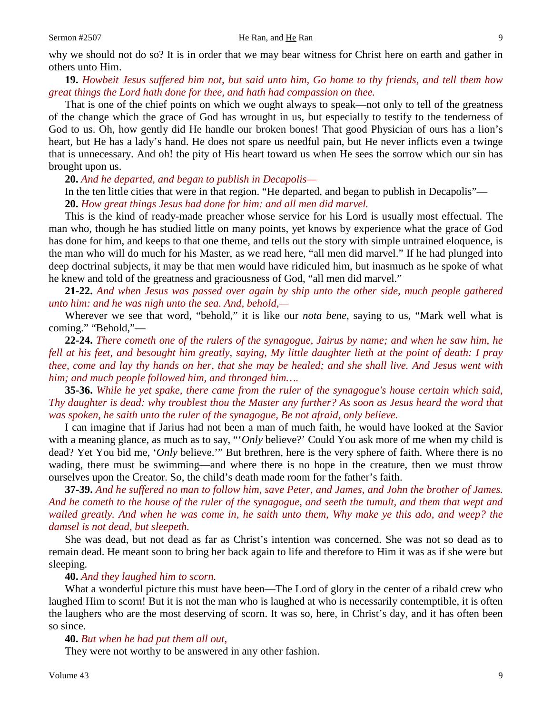why we should not do so? It is in order that we may bear witness for Christ here on earth and gather in others unto Him.

**19.** *Howbeit Jesus suffered him not, but said unto him, Go home to thy friends, and tell them how great things the Lord hath done for thee, and hath had compassion on thee.* 

That is one of the chief points on which we ought always to speak—not only to tell of the greatness of the change which the grace of God has wrought in us, but especially to testify to the tenderness of God to us. Oh, how gently did He handle our broken bones! That good Physician of ours has a lion's heart, but He has a lady's hand. He does not spare us needful pain, but He never inflicts even a twinge that is unnecessary. And oh! the pity of His heart toward us when He sees the sorrow which our sin has brought upon us.

**20.** *And he departed, and began to publish in Decapolis—*

In the ten little cities that were in that region. "He departed, and began to publish in Decapolis"— **20.** *How great things Jesus had done for him: and all men did marvel.* 

This is the kind of ready-made preacher whose service for his Lord is usually most effectual. The man who, though he has studied little on many points, yet knows by experience what the grace of God has done for him, and keeps to that one theme, and tells out the story with simple untrained eloquence, is the man who will do much for his Master, as we read here, "all men did marvel." If he had plunged into deep doctrinal subjects, it may be that men would have ridiculed him, but inasmuch as he spoke of what he knew and told of the greatness and graciousness of God, "all men did marvel."

**21-22.** *And when Jesus was passed over again by ship unto the other side, much people gathered unto him: and he was nigh unto the sea. And, behold,—*

Wherever we see that word, "behold," it is like our *nota bene*, saying to us, "Mark well what is coming." "Behold,"—

**22-24.** *There cometh one of the rulers of the synagogue, Jairus by name; and when he saw him, he fell at his feet, and besought him greatly, saying, My little daughter lieth at the point of death: I pray thee, come and lay thy hands on her, that she may be healed; and she shall live. And Jesus went with him; and much people followed him, and thronged him….*

**35-36.** *While he yet spake, there came from the ruler of the synagogue's house certain which said, Thy daughter is dead: why troublest thou the Master any further? As soon as Jesus heard the word that was spoken, he saith unto the ruler of the synagogue, Be not afraid, only believe.*

I can imagine that if Jarius had not been a man of much faith, he would have looked at the Savior with a meaning glance, as much as to say, "'*Only* believe?' Could You ask more of me when my child is dead? Yet You bid me, '*Only* believe.'" But brethren, here is the very sphere of faith. Where there is no wading, there must be swimming—and where there is no hope in the creature, then we must throw ourselves upon the Creator. So, the child's death made room for the father's faith.

**37-39.** *And he suffered no man to follow him, save Peter, and James, and John the brother of James. And he cometh to the house of the ruler of the synagogue, and seeth the tumult, and them that wept and wailed greatly. And when he was come in, he saith unto them, Why make ye this ado, and weep? the damsel is not dead, but sleepeth.*

She was dead, but not dead as far as Christ's intention was concerned. She was not so dead as to remain dead. He meant soon to bring her back again to life and therefore to Him it was as if she were but sleeping.

#### **40.** *And they laughed him to scorn.*

What a wonderful picture this must have been—The Lord of glory in the center of a ribald crew who laughed Him to scorn! But it is not the man who is laughed at who is necessarily contemptible, it is often the laughers who are the most deserving of scorn. It was so, here, in Christ's day, and it has often been so since.

### **40.** *But when he had put them all out,*

They were not worthy to be answered in any other fashion.